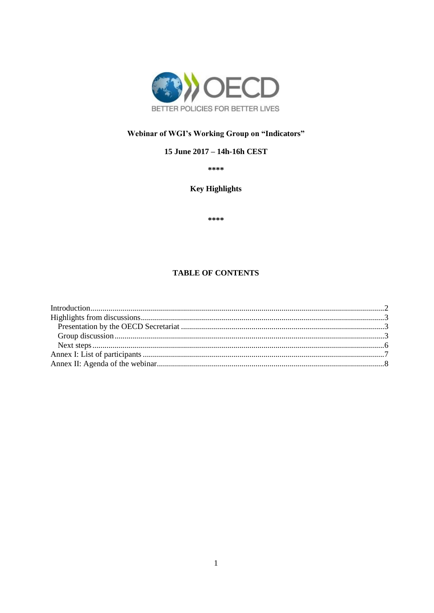

# Webinar of WGI's Working Group on "Indicators"

### 15 June 2017 - 14h-16h CEST

\*\*\*\*

## **Key Highlights**

\*\*\*\*

### **TABLE OF CONTENTS**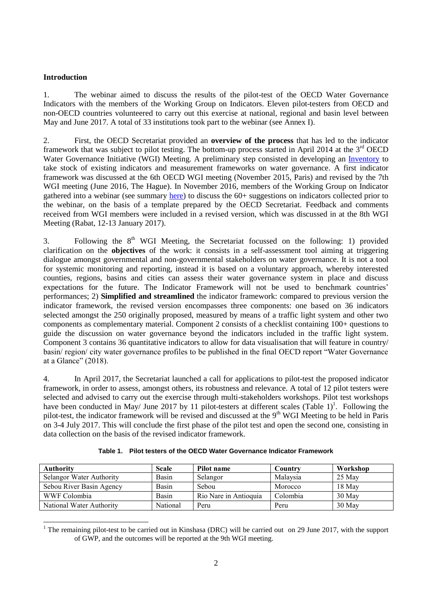#### <span id="page-1-0"></span>**Introduction**

1. The webinar aimed to discuss the results of the pilot-test of the OECD Water Governance Indicators with the members of the Working Group on Indicators. Eleven pilot-testers from OECD and non-OECD countries volunteered to carry out this exercise at national, regional and basin level between May and June 2017. A total of 33 institutions took part to the webinar (see Annex I).

2. First, the OECD Secretariat provided an **overview of the process** that has led to the indicator framework that was subject to pilot testing. The bottom-up process started in April 2014 at the  $3<sup>rd</sup>$  OECD Water Governance Initiative (WGI) Meeting. A preliminary step consisted in developing an [Inventory](https://www.oecd.org/cfe/regional-policy/Inventory_Indicators.pdf) to take stock of existing indicators and measurement frameworks on water governance. A first indicator framework was discussed at the 6th OECD WGI meeting (November 2015, Paris) and revised by the 7th WGI meeting (June 2016, The Hague). In November 2016, members of the Working Group on Indicator gathered into a webinar (see summary [here\)](https://www.oecd.org/cfe/regional-policy/Summary-Webinar-Indicators-15Nov16.pdf) to discuss the 60+ suggestions on indicators collected prior to the webinar, on the basis of a template prepared by the OECD Secretariat. Feedback and comments received from WGI members were included in a revised version, which was discussed in at the 8th WGI Meeting (Rabat, 12-13 January 2017).

3. Following the  $8<sup>th</sup>$  WGI Meeting, the Secretariat focussed on the following: 1) provided clarification on the **objectives** of the work: it consists in a self-assessment tool aiming at triggering dialogue amongst governmental and non-governmental stakeholders on water governance. It is not a tool for systemic monitoring and reporting, instead it is based on a voluntary approach, whereby interested counties, regions, basins and cities can assess their water governance system in place and discuss expectations for the future. The Indicator Framework will not be used to benchmark countries' performances; 2) **Simplified and streamlined** the indicator framework: compared to previous version the indicator framework, the revised version encompasses three components: one based on 36 indicators selected amongst the 250 originally proposed, measured by means of a traffic light system and other two components as complementary material. Component 2 consists of a checklist containing 100+ questions to guide the discussion on water governance beyond the indicators included in the traffic light system. Component 3 contains 36 quantitative indicators to allow for data visualisation that will feature in country/ basin/ region/ city water governance profiles to be published in the final OECD report "Water Governance at a Glance" (2018).

4. In April 2017, the Secretariat launched a call for applications to pilot-test the proposed indicator framework, in order to assess, amongst others, its robustness and relevance. A total of 12 pilot testers were selected and advised to carry out the exercise through multi-stakeholders workshops. Pilot test workshops have been conducted in May/ June 2017 by 11 pilot-testers at different scales (Table 1)<sup>1</sup>. Following the pilot-test, the indicator framework will be revised and discussed at the 9<sup>th</sup> WGI Meeting to be held in Paris on 3-4 July 2017. This will conclude the first phase of the pilot test and open the second one, consisting in data collection on the basis of the revised indicator framework.

| <b>Authority</b>         | Scale    | Pilot name            | Country  | Workshop |
|--------------------------|----------|-----------------------|----------|----------|
| Selangor Water Authority | Basin    | Selangor              | Malaysia | 25 May   |
| Sebou River Basin Agency | Basin    | Sebou                 | Morocco  | 18 May   |
| WWF Colombia             | Basin    | Rio Nare in Antioquia | Colombia | $30$ May |
| National Water Authority | National | Peru                  | Peru     | 30 May   |

|  | Table 1. Pilot testers of the OECD Water Governance Indicator Framework |  |  |  |  |
|--|-------------------------------------------------------------------------|--|--|--|--|
|--|-------------------------------------------------------------------------|--|--|--|--|

  $1$  The remaining pilot-test to be carried out in Kinshasa (DRC) will be carried out on 29 June 2017, with the support of GWP, and the outcomes will be reported at the 9th WGI meeting.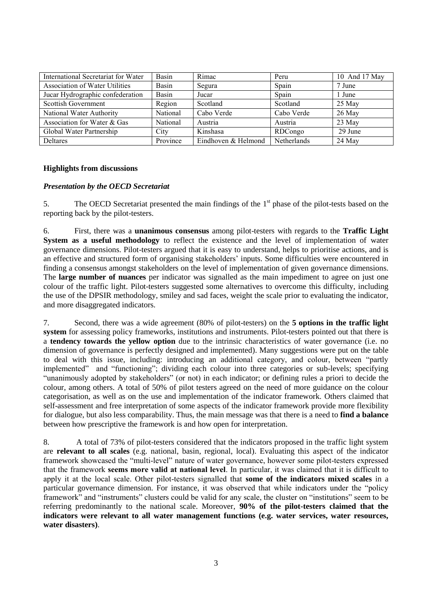| International Secretariat for Water   | Basin    | Rimac               | Peru        | 10 And 17 May |
|---------------------------------------|----------|---------------------|-------------|---------------|
| <b>Association of Water Utilities</b> | Basin    | Segura              | Spain       | 7 June        |
| Jucar Hydrographic confederation      | Basin    | Jucar               | Spain       | 1 June        |
| <b>Scottish Government</b>            | Region   | Scotland            | Scotland    | 25 May        |
| National Water Authority              | National | Cabo Verde          | Cabo Verde  | 26 May        |
| Association for Water & Gas           | National | Austria             | Austria     | 23 May        |
| Global Water Partnership              | City     | Kinshasa            | RDCongo     | 29 June       |
| <b>Deltares</b>                       | Province | Eindhoven & Helmond | Netherlands | 24 May        |

### <span id="page-2-0"></span>**Highlights from discussions**

#### <span id="page-2-1"></span>*Presentation by the OECD Secretariat*

<span id="page-2-2"></span>5. The OECD Secretariat presented the main findings of the 1<sup>st</sup> phase of the pilot-tests based on the reporting back by the pilot-testers.

6. First, there was a **unanimous consensus** among pilot-testers with regards to the **Traffic Light System as a useful methodology** to reflect the existence and the level of implementation of water governance dimensions. Pilot-testers argued that it is easy to understand, helps to prioritise actions, and is an effective and structured form of organising stakeholders' inputs. Some difficulties were encountered in finding a consensus amongst stakeholders on the level of implementation of given governance dimensions. The **large number of nuances** per indicator was signalled as the main impediment to agree on just one colour of the traffic light. Pilot-testers suggested some alternatives to overcome this difficulty, including the use of the DPSIR methodology, smiley and sad faces, weight the scale prior to evaluating the indicator, and more disaggregated indicators.

7. Second, there was a wide agreement (80% of pilot-testers) on the **5 options in the traffic light system** for assessing policy frameworks, institutions and instruments. Pilot-testers pointed out that there is a **tendency towards the yellow option** due to the intrinsic characteristics of water governance (i.e. no dimension of governance is perfectly designed and implemented). Many suggestions were put on the table to deal with this issue, including: introducing an additional category, and colour, between "partly implemented" and "functioning"; dividing each colour into three categories or sub-levels; specifying "unanimously adopted by stakeholders" (or not) in each indicator; or defining rules a priori to decide the colour, among others. A total of 50% of pilot testers agreed on the need of more guidance on the colour categorisation, as well as on the use and implementation of the indicator framework. Others claimed that self-assessment and free interpretation of some aspects of the indicator framework provide more flexibility for dialogue, but also less comparability. Thus, the main message was that there is a need to **find a balance**  between how prescriptive the framework is and how open for interpretation.

8. A total of 73% of pilot-testers considered that the indicators proposed in the traffic light system are **relevant to all scales** (e.g. national, basin, regional, local). Evaluating this aspect of the indicator framework showcased the "multi-level" nature of water governance, however some pilot-testers expressed that the framework **seems more valid at national level**. In particular, it was claimed that it is difficult to apply it at the local scale. Other pilot-testers signalled that **some of the indicators mixed scales** in a particular governance dimension. For instance, it was observed that while indicators under the "policy framework" and "instruments" clusters could be valid for any scale, the cluster on "institutions" seem to be referring predominantly to the national scale. Moreover, **90% of the pilot-testers claimed that the indicators were relevant to all water management functions (e.g. water services, water resources, water disasters)**.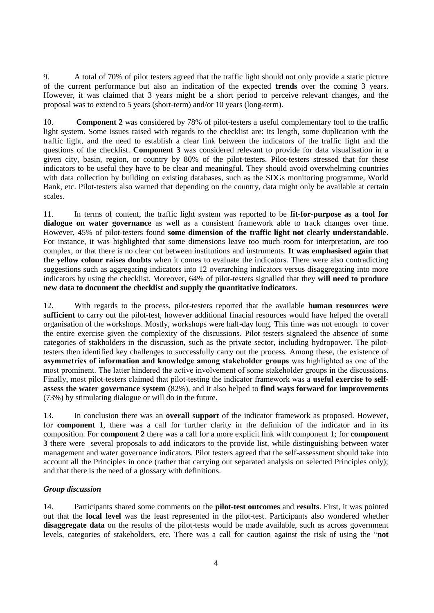9. A total of 70% of pilot testers agreed that the traffic light should not only provide a static picture of the current performance but also an indication of the expected **trends** over the coming 3 years. However, it was claimed that 3 years might be a short period to perceive relevant changes, and the proposal was to extend to 5 years (short-term) and/or 10 years (long-term).

10. **Component 2** was considered by 78% of pilot-testers a useful complementary tool to the traffic light system. Some issues raised with regards to the checklist are: its length, some duplication with the traffic light, and the need to establish a clear link between the indicators of the traffic light and the questions of the checklist. **Component 3** was considered relevant to provide for data visualisation in a given city, basin, region, or country by 80% of the pilot-testers. Pilot-testers stressed that for these indicators to be useful they have to be clear and meaningful. They should avoid overwhelming countries with data collection by building on existing databases, such as the SDGs monitoring programme, World Bank, etc. Pilot-testers also warned that depending on the country, data might only be available at certain scales.

11. In terms of content, the traffic light system was reported to be **fit-for-purpose as a tool for dialogue on water governance** as well as a consistent framework able to track changes over time. However, 45% of pilot-testers found **some dimension of the traffic light not clearly understandable**. For instance, it was highlighted that some dimensions leave too much room for interpretation, are too complex, or that there is no clear cut between institutions and instruments. **It was emphasised again that the yellow colour raises doubts** when it comes to evaluate the indicators. There were also contradicting suggestions such as aggregating indicators into 12 overarching indicators versus disaggregating into more indicators by using the checklist. Moreover, 64% of pilot-testers signalled that they **will need to produce new data to document the checklist and supply the quantitative indicators**.

12. With regards to the process, pilot-testers reported that the available **human resources were sufficient** to carry out the pilot-test, however additional finacial resources would have helped the overall organisation of the workshops. Mostly, workshops were half-day long. This time was not enough to cover the entire exercise given the complexity of the discussions. Pilot testers signaleed the absence of some categories of stakholders in the discussion, such as the private sector, including hydropower. The pilottesters then identified key challenges to successfully carry out the process. Among these, the existence of **asymmetries of information and knowledge among stakeholder groups** was highlighted as one of the most prominent. The latter hindered the active involvement of some stakeholder groups in the discussions. Finally, most pilot-testers claimed that pilot-testing the indicator framework was a **useful exercise to selfassess the water governance system** (82%), and it also helped to **find ways forward for improvements**  (73%) by stimulating dialogue or will do in the future.

13. In conclusion there was an **overall support** of the indicator framework as proposed. However, for **component 1**, there was a call for further clarity in the definition of the indicator and in its composition. For **component 2** there was a call for a more explicit link with component 1; for **component 3** there were several proposals to add indicators to the provide list, while distinguishing between water management and water governance indicators. Pilot testers agreed that the self-assessment should take into account all the Principles in once (rather that carrying out separated analysis on selected Principles only); and that there is the need of a glossary with definitions.

#### *Group discussion*

14. Participants shared some comments on the **pilot-test outcomes** and **results**. First, it was pointed out that the **local level** was the least represented in the pilot-test. Participants also wondered whether **disaggregate data** on the results of the pilot-tests would be made available, such as across government levels, categories of stakeholders, etc. There was a call for caution against the risk of using the "**not**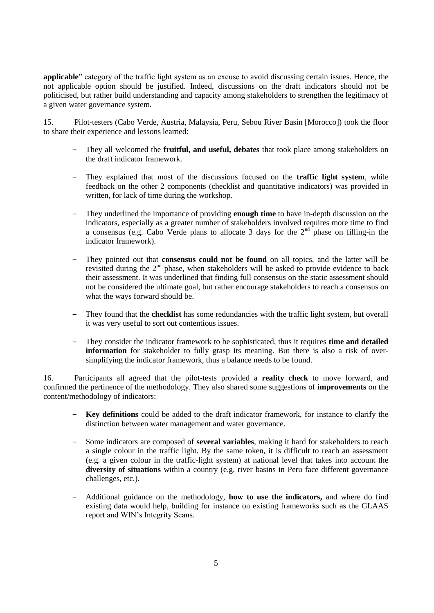**applicable**" category of the traffic light system as an excuse to avoid discussing certain issues. Hence, the not applicable option should be justified. Indeed, discussions on the draft indicators should not be politicised, but rather build understanding and capacity among stakeholders to strengthen the legitimacy of a given water governance system.

15. Pilot-testers (Cabo Verde, Austria, Malaysia, Peru, Sebou River Basin [Morocco]) took the floor to share their experience and lessons learned:

- ‒ They all welcomed the **fruitful, and useful, debates** that took place among stakeholders on the draft indicator framework.
- ‒ They explained that most of the discussions focused on the **traffic light system**, while feedback on the other 2 components (checklist and quantitative indicators) was provided in written, for lack of time during the workshop.
- ‒ They underlined the importance of providing **enough time** to have in-depth discussion on the indicators, especially as a greater number of stakeholders involved requires more time to find a consensus (e.g. Cabo Verde plans to allocate 3 days for the  $2<sup>nd</sup>$  phase on filling-in the indicator framework).
- ‒ They pointed out that **consensus could not be found** on all topics, and the latter will be revisited during the  $2<sup>nd</sup>$  phase, when stakeholders will be asked to provide evidence to back their assessment. It was underlined that finding full consensus on the static assessment should not be considered the ultimate goal, but rather encourage stakeholders to reach a consensus on what the ways forward should be.
- ‒ They found that the **checklist** has some redundancies with the traffic light system, but overall it was very useful to sort out contentious issues.
- ‒ They consider the indicator framework to be sophisticated, thus it requires **time and detailed information** for stakeholder to fully grasp its meaning. But there is also a risk of oversimplifying the indicator framework, thus a balance needs to be found.

16. Participants all agreed that the pilot-tests provided a **reality check** to move forward, and confirmed the pertinence of the methodology. They also shared some suggestions of **improvements** on the content/methodology of indicators:

- ‒ **Key definitions** could be added to the draft indicator framework, for instance to clarify the distinction between water management and water governance.
- ‒ Some indicators are composed of **several variables**, making it hard for stakeholders to reach a single colour in the traffic light. By the same token, it is difficult to reach an assessment (e.g. a given colour in the traffic-light system) at national level that takes into account the **diversity of situations** within a country (e.g. river basins in Peru face different governance challenges, etc.).
- ‒ Additional guidance on the methodology, **how to use the indicators,** and where do find existing data would help, building for instance on existing frameworks such as the GLAAS report and WIN's Integrity Scans.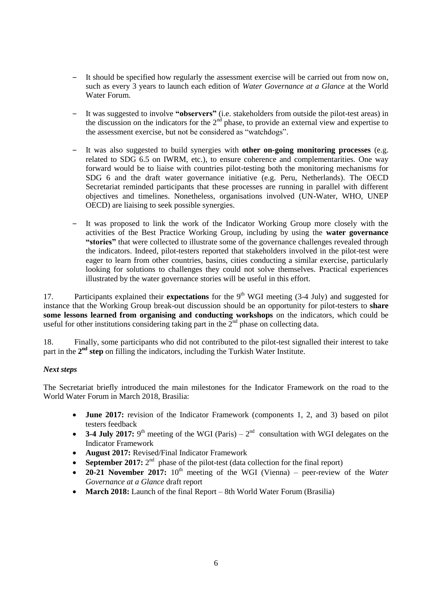- ‒ It should be specified how regularly the assessment exercise will be carried out from now on, such as every 3 years to launch each edition of *Water Governance at a Glance* at the World Water Forum.
- ‒ It was suggested to involve **"observers"** (i.e. stakeholders from outside the pilot-test areas) in the discussion on the indicators for the 2<sup>nd</sup> phase, to provide an external view and expertise to the assessment exercise, but not be considered as "watchdogs".
- ‒ It was also suggested to build synergies with **other on-going monitoring processes** (e.g. related to SDG 6.5 on IWRM, etc.), to ensure coherence and complementarities. One way forward would be to liaise with countries pilot-testing both the monitoring mechanisms for SDG 6 and the draft water governance initiative (e.g. Peru, Netherlands). The OECD Secretariat reminded participants that these processes are running in parallel with different objectives and timelines. Nonetheless, organisations involved (UN-Water, WHO, UNEP OECD) are liaising to seek possible synergies.
- ‒ It was proposed to link the work of the Indicator Working Group more closely with the activities of the Best Practice Working Group, including by using the **water governance "stories"** that were collected to illustrate some of the governance challenges revealed through the indicators. Indeed, pilot-testers reported that stakeholders involved in the pilot-test were eager to learn from other countries, basins, cities conducting a similar exercise, particularly looking for solutions to challenges they could not solve themselves. Practical experiences illustrated by the water governance stories will be useful in this effort.

17. Participants explained their **expectations** for the 9<sup>th</sup> WGI meeting (3-4 July) and suggested for instance that the Working Group break-out discussion should be an opportunity for pilot-testers to **share some lessons learned from organising and conducting workshops** on the indicators, which could be useful for other institutions considering taking part in the  $2<sup>nd</sup>$  phase on collecting data.

18. Finally, some participants who did not contributed to the pilot-test signalled their interest to take part in the 2<sup>nd</sup> step on filling the indicators, including the Turkish Water Institute.

#### <span id="page-5-0"></span>*Next steps*

The Secretariat briefly introduced the main milestones for the Indicator Framework on the road to the World Water Forum in March 2018, Brasilia:

- **June 2017:** revision of the Indicator Framework (components 1, 2, and 3) based on pilot testers feedback
- **3-4 July 2017:** 9<sup>th</sup> meeting of the WGI (Paris)  $2<sup>nd</sup>$  consultation with WGI delegates on the Indicator Framework
- **August 2017:** Revised/Final Indicator Framework
- **September 2017:**  $2^{nd}$  phase of the pilot-test (data collection for the final report)
- **20-21 November 2017:**  $10<sup>th</sup>$  meeting of the WGI (Vienna) peer-review of the *Water Governance at a Glance* draft report
- **March 2018:** Launch of the final Report 8th World Water Forum (Brasilia)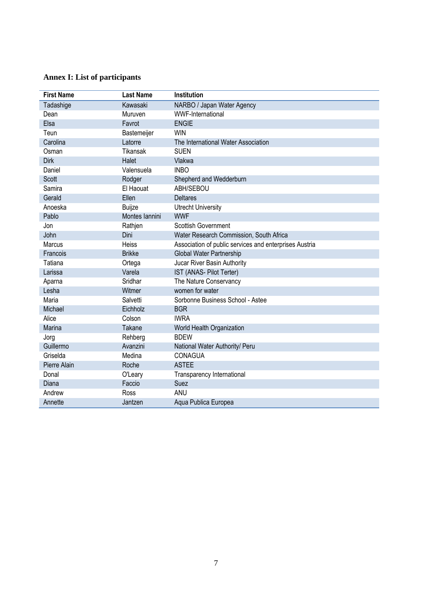# <span id="page-6-0"></span>**Annex I: List of participants**

| <b>First Name</b> | <b>Last Name</b> | Institution                                            |
|-------------------|------------------|--------------------------------------------------------|
| Tadashige         | Kawasaki         | NARBO / Japan Water Agency                             |
| Dean              | Muruven          | <b>WWF-International</b>                               |
| Elsa              | Favrot           | <b>ENGIE</b>                                           |
| Teun              | Bastemeijer      | <b>WIN</b>                                             |
| Carolina          | Latorre          | The International Water Association                    |
| Osman             | <b>Tikansak</b>  | <b>SUEN</b>                                            |
| <b>Dirk</b>       | Halet            | Vlakwa                                                 |
| Daniel            | Valensuela       | <b>INBO</b>                                            |
| <b>Scott</b>      | Rodger           | Shepherd and Wedderburn                                |
| Samira            | El Haouat        | ABH/SEBOU                                              |
| Gerald            | Ellen            | <b>Deltares</b>                                        |
| Anoeska           | Buijze           | <b>Utrecht University</b>                              |
| Pablo             | Montes Iannini   | <b>WWF</b>                                             |
| Jon               | Rathjen          | <b>Scottish Government</b>                             |
| John              | Dini             | Water Research Commission, South Africa                |
| Marcus            | Heiss            | Association of public services and enterprises Austria |
| Francois          | <b>Brikke</b>    | Global Water Partnership                               |
| Tatiana           | Ortega           | Jucar River Basin Authority                            |
| Larissa           | Varela           | IST (ANAS- Pilot Terter)                               |
| Aparna            | Sridhar          | The Nature Conservancy                                 |
| Lesha             | Witmer           | women for water                                        |
| Maria             | Salvetti         | Sorbonne Business School - Astee                       |
| Michael           | Eichholz         | <b>BGR</b>                                             |
| Alice             | Colson           | <b>IWRA</b>                                            |
| Marina            | Takane           | World Health Organization                              |
| Jorg              | Rehberg          | <b>BDEW</b>                                            |
| Guillermo         | Avanzini         | National Water Authority/ Peru                         |
| Griselda          | Medina           | CONAGUA                                                |
| Pierre Alain      | Roche            | <b>ASTEE</b>                                           |
| Donal             | O'Leary          | Transparency International                             |
| Diana             | Faccio           | Suez                                                   |
| Andrew            | Ross             | ANU                                                    |
| Annette           | Jantzen          | Aqua Publica Europea                                   |